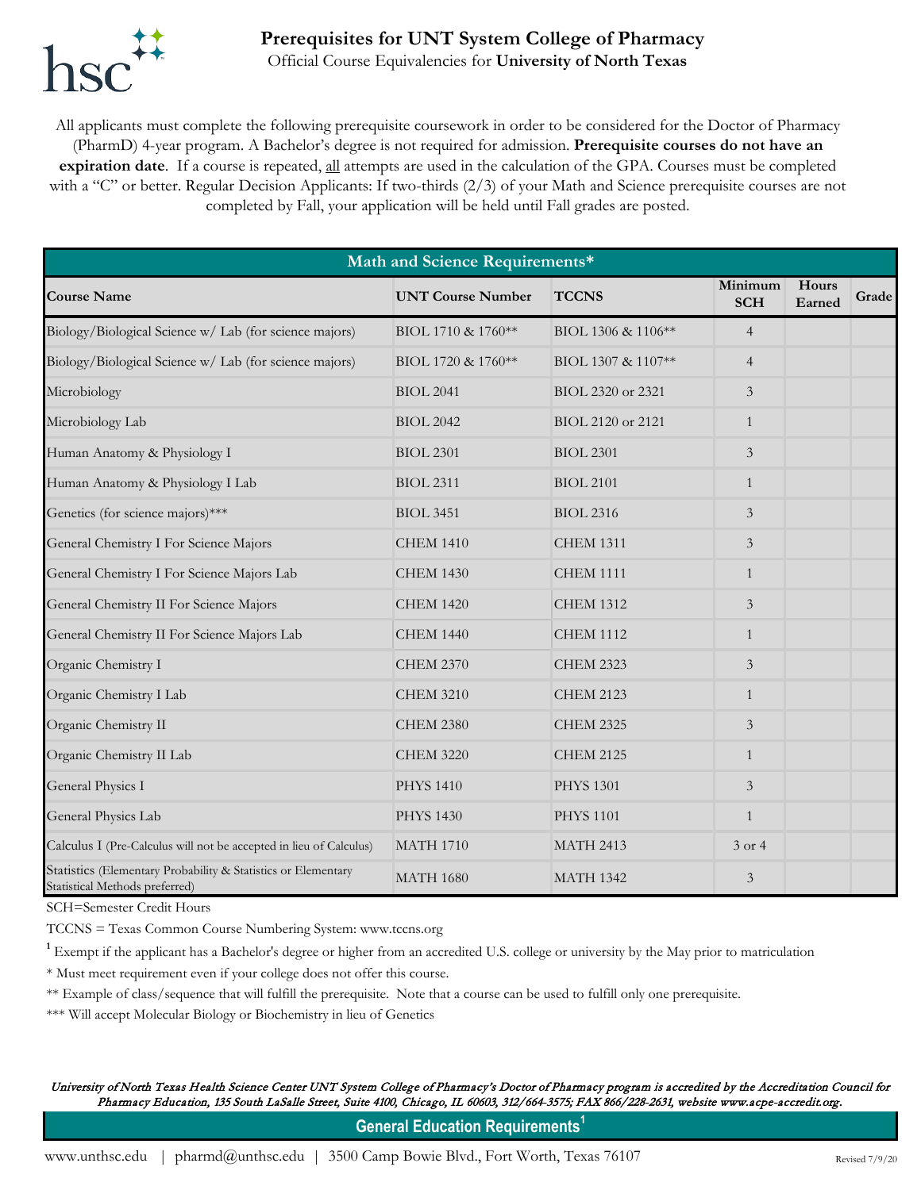

## **Prerequisites for UNT System College of Pharmacy**

Official Course Equivalencies for **University of North Texas**

All applicants must complete the following prerequisite coursework in order to be considered for the Doctor of Pharmacy (PharmD) 4-year program. A Bachelor's degree is not required for admission. **Prerequisite courses do not have an expiration date**. If a course is repeated, all attempts are used in the calculation of the GPA. Courses must be completed with a "C" or better. Regular Decision Applicants: If two-thirds (2/3) of your Math and Science prerequisite courses are not completed by Fall, your application will be held until Fall grades are posted.

| Math and Science Requirements*                                                                  |                          |                    |                       |                 |       |  |  |  |  |
|-------------------------------------------------------------------------------------------------|--------------------------|--------------------|-----------------------|-----------------|-------|--|--|--|--|
| <b>Course Name</b>                                                                              | <b>UNT Course Number</b> | <b>TCCNS</b>       | Minimum<br><b>SCH</b> | Hours<br>Earned | Grade |  |  |  |  |
| Biology/Biological Science w/ Lab (for science majors)                                          | BIOL 1710 & 1760**       | BIOL 1306 & 1106** | $\overline{4}$        |                 |       |  |  |  |  |
| Biology/Biological Science w/ Lab (for science majors)                                          | BIOL 1720 & 1760**       | BIOL 1307 & 1107** | $\overline{4}$        |                 |       |  |  |  |  |
| Microbiology                                                                                    | <b>BIOL 2041</b>         | BIOL 2320 or 2321  | $\mathfrak{Z}$        |                 |       |  |  |  |  |
| Microbiology Lab                                                                                | <b>BIOL 2042</b>         | BIOL 2120 or 2121  | $\mathbf{1}$          |                 |       |  |  |  |  |
| Human Anatomy & Physiology I                                                                    | <b>BIOL 2301</b>         | <b>BIOL 2301</b>   | $\mathfrak{Z}$        |                 |       |  |  |  |  |
| Human Anatomy & Physiology I Lab                                                                | <b>BIOL 2311</b>         | <b>BIOL 2101</b>   | $\mathbf{1}$          |                 |       |  |  |  |  |
| Genetics (for science majors)***                                                                | <b>BIOL 3451</b>         | <b>BIOL 2316</b>   | $\mathfrak{Z}$        |                 |       |  |  |  |  |
| General Chemistry I For Science Majors                                                          | <b>CHEM 1410</b>         | <b>CHEM 1311</b>   | $\mathfrak{Z}$        |                 |       |  |  |  |  |
| General Chemistry I For Science Majors Lab                                                      | <b>CHEM 1430</b>         | <b>CHEM 1111</b>   | $\mathbf{1}$          |                 |       |  |  |  |  |
| General Chemistry II For Science Majors                                                         | <b>CHEM 1420</b>         | <b>CHEM 1312</b>   | $\mathfrak{Z}$        |                 |       |  |  |  |  |
| General Chemistry II For Science Majors Lab                                                     | <b>CHEM 1440</b>         | <b>CHEM 1112</b>   | $\mathbf{1}$          |                 |       |  |  |  |  |
| Organic Chemistry I                                                                             | <b>CHEM 2370</b>         | <b>CHEM 2323</b>   | 3                     |                 |       |  |  |  |  |
| Organic Chemistry I Lab                                                                         | <b>CHEM 3210</b>         | <b>CHEM 2123</b>   | 1                     |                 |       |  |  |  |  |
| Organic Chemistry II                                                                            | <b>CHEM 2380</b>         | <b>CHEM 2325</b>   | $\mathfrak{Z}$        |                 |       |  |  |  |  |
| Organic Chemistry II Lab                                                                        | <b>CHEM 3220</b>         | <b>CHEM 2125</b>   | $\mathbf{1}$          |                 |       |  |  |  |  |
| General Physics I                                                                               | <b>PHYS 1410</b>         | <b>PHYS 1301</b>   | $\mathfrak{Z}$        |                 |       |  |  |  |  |
| General Physics Lab                                                                             | <b>PHYS 1430</b>         | <b>PHYS 1101</b>   | $\mathbf{1}$          |                 |       |  |  |  |  |
| Calculus I (Pre-Calculus will not be accepted in lieu of Calculus)                              | <b>MATH 1710</b>         | <b>MATH 2413</b>   | 3 or 4                |                 |       |  |  |  |  |
| Statistics (Elementary Probability & Statistics or Elementary<br>Statistical Methods preferred) | <b>MATH 1680</b>         | <b>MATH 1342</b>   | $\mathfrak{Z}$        |                 |       |  |  |  |  |

SCH=Semester Credit Hours

TCCNS = Texas Common Course Numbering System: www.tccns.org

<sup>1</sup> Exempt if the applicant has a Bachelor's degree or higher from an accredited U.S. college or university by the May prior to matriculation

\* Must meet requirement even if your college does not offer this course.

\*\* Example of class/sequence that will fulfill the prerequisite. Note that a course can be used to fulfill only one prerequisite.

\*\*\* Will accept Molecular Biology or Biochemistry in lieu of Genetics

University of North Texas Health Science Center UNT System College of Pharmacy's Doctor of Pharmacy program is accredited by the Accreditation Council for Pharmacy Education, 135 South LaSalle Street, Suite 4100, Chicago, IL 60603, 312/664-3575; FAX 866/228-2631, website www.acpe-accredit.org.

**General Education Requirements**